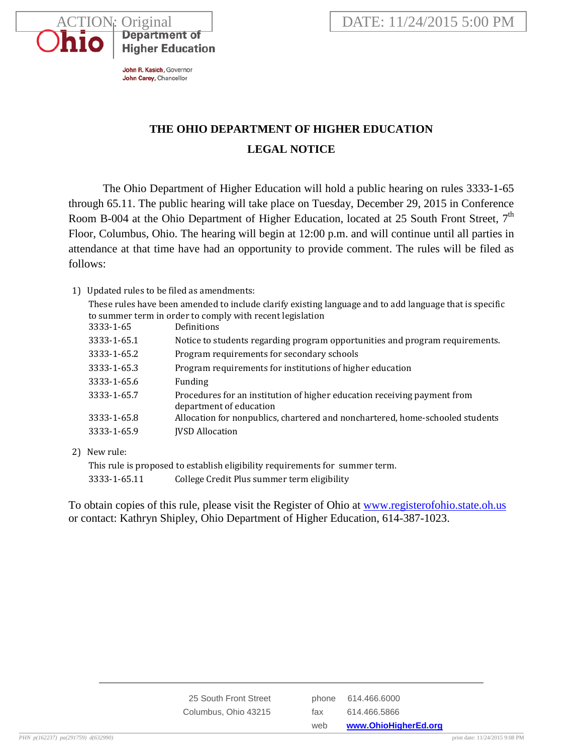

**Higher Education** 

# **THE OHIO DEPARTMENT OF HIGHER EDUCATION LEGAL NOTICE**

The Ohio Department of Higher Education will hold a public hearing on rules 3333-1-65 through 65.11. The public hearing will take place on Tuesday, December 29, 2015 in Conference Room B-004 at the Ohio Department of Higher Education, located at 25 South Front Street,  $7<sup>th</sup>$ Floor, Columbus, Ohio. The hearing will begin at 12:00 p.m. and will continue until all parties in attendance at that time have had an opportunity to provide comment. The rules will be filed as follows:

## 1) Updated rules to be filed as amendments:

These rules have been amended to include clarify existing language and to add language that is specific to summer term in order to comply with recent legislation

| 3333-1-65   | Definitions                                                                                         |
|-------------|-----------------------------------------------------------------------------------------------------|
| 3333-1-65.1 | Notice to students regarding program opportunities and program requirements.                        |
| 3333-1-65.2 | Program requirements for secondary schools                                                          |
| 3333-1-65.3 | Program requirements for institutions of higher education                                           |
| 3333-1-65.6 | Funding                                                                                             |
| 3333-1-65.7 | Procedures for an institution of higher education receiving payment from<br>department of education |
| 3333-1-65.8 | Allocation for nonpublics, chartered and nonchartered, home-schooled students                       |
| 3333-1-65.9 | <b>JVSD Allocation</b>                                                                              |

2) New rule:

This rule is proposed to establish eligibility requirements for summer term. 3333-1-65.11 College Credit Plus summer term eligibility

To obtain copies of this rule, please visit the Register of Ohio at [www.registerofohio.state.oh.us](http://www.registerofohio.state.oh.us/) or contact: Kathryn Shipley, Ohio Department of Higher Education, 614-387-1023.

|                       | web | www.OhioHigherEd.org |
|-----------------------|-----|----------------------|
| Columbus, Ohio 43215  | fax | 614.466.5866         |
| 25 South Front Street |     | phone 614,466,6000   |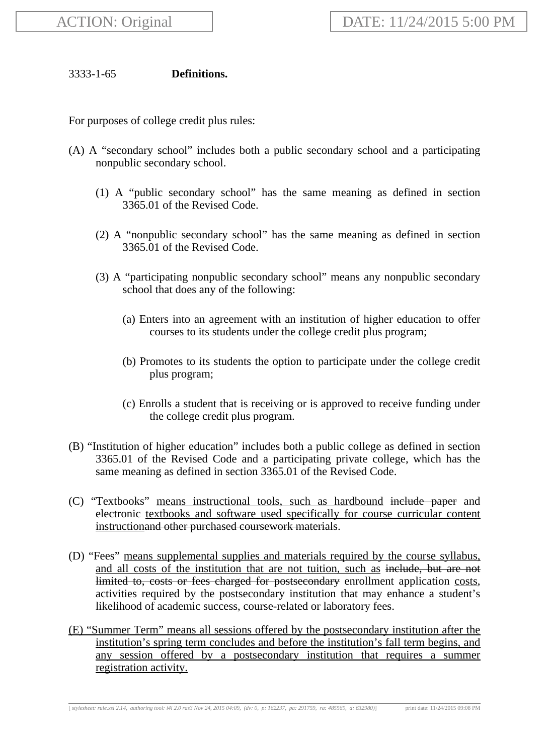# 3333-1-65 **Definitions.**

For purposes of college credit plus rules:

- (A) A "secondary school" includes both a public secondary school and a participating nonpublic secondary school.
	- (1) A "public secondary school" has the same meaning as defined in section 3365.01 of the Revised Code.
	- (2) A "nonpublic secondary school" has the same meaning as defined in section 3365.01 of the Revised Code.
	- (3) A "participating nonpublic secondary school" means any nonpublic secondary school that does any of the following:
		- (a) Enters into an agreement with an institution of higher education to offer courses to its students under the college credit plus program;
		- (b) Promotes to its students the option to participate under the college credit plus program;
		- (c) Enrolls a student that is receiving or is approved to receive funding under the college credit plus program.
- (B) "Institution of higher education" includes both a public college as defined in section 3365.01 of the Revised Code and a participating private college, which has the same meaning as defined in section 3365.01 of the Revised Code.
- (C) "Textbooks" means instructional tools, such as hardbound include paper and electronic textbooks and software used specifically for course curricular content instructionand other purchased coursework materials.
- (D) "Fees" means supplemental supplies and materials required by the course syllabus, and all costs of the institution that are not tuition, such as include, but are not limited to, costs or fees charged for postsecondary enrollment application costs, activities required by the postsecondary institution that may enhance a student's likelihood of academic success, course-related or laboratory fees.
- (E) "Summer Term" means all sessions offered by the postsecondary institution after the institution's spring term concludes and before the institution's fall term begins, and any session offered by a postsecondary institution that requires a summer registration activity.

[ *stylesheet: rule.xsl 2.14, authoring tool: i4i 2.0 ras3 Nov 24, 2015 04:09, (dv: 0, p: 162237, pa: 291759, ra: 485569, d: 632980)*] print date: 11/24/2015 09:08 PM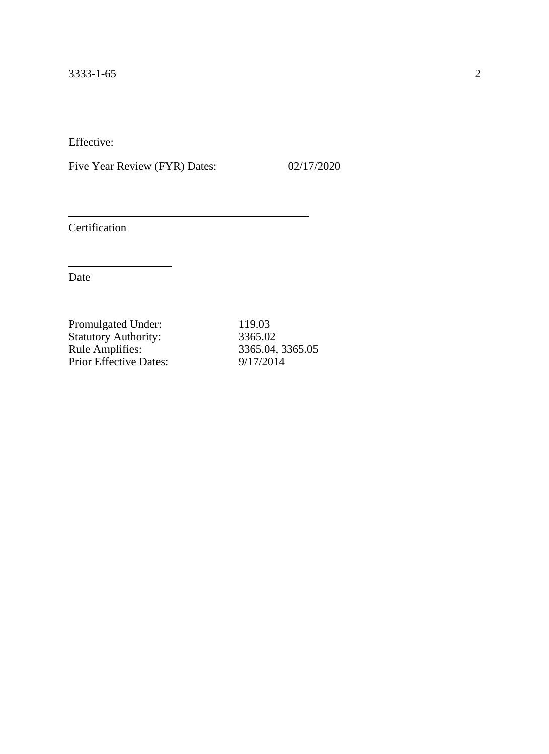Five Year Review (FYR) Dates: 02/17/2020

Certification

| 119.03           |
|------------------|
| 3365.02          |
| 3365.04, 3365.05 |
| 9/17/2014        |
|                  |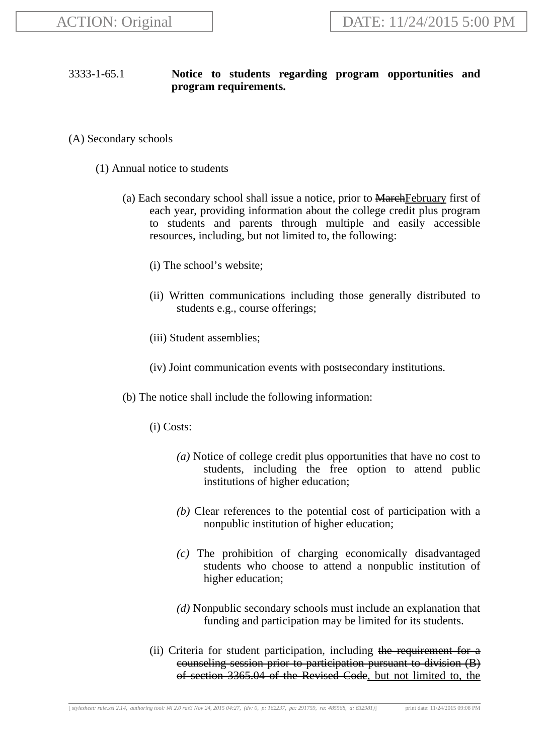# 3333-1-65.1 **Notice to students regarding program opportunities and program requirements.**

- (A) Secondary schools
	- (1) Annual notice to students
		- (a) Each secondary school shall issue a notice, prior to MarchFebruary first of each year, providing information about the college credit plus program to students and parents through multiple and easily accessible resources, including, but not limited to, the following:
			- (i) The school's website;
			- (ii) Written communications including those generally distributed to students e.g., course offerings;
			- (iii) Student assemblies;
			- (iv) Joint communication events with postsecondary institutions.
		- (b) The notice shall include the following information:
			- (i) Costs:
				- *(a)* Notice of college credit plus opportunities that have no cost to students, including the free option to attend public institutions of higher education;
				- *(b)* Clear references to the potential cost of participation with a nonpublic institution of higher education;
				- *(c)* The prohibition of charging economically disadvantaged students who choose to attend a nonpublic institution of higher education;
				- *(d)* Nonpublic secondary schools must include an explanation that funding and participation may be limited for its students.
			- (ii) Criteria for student participation, including the requirement for a counseling session prior to participation pursuant to division (B) of section 3365.04 of the Revised Code, but not limited to, the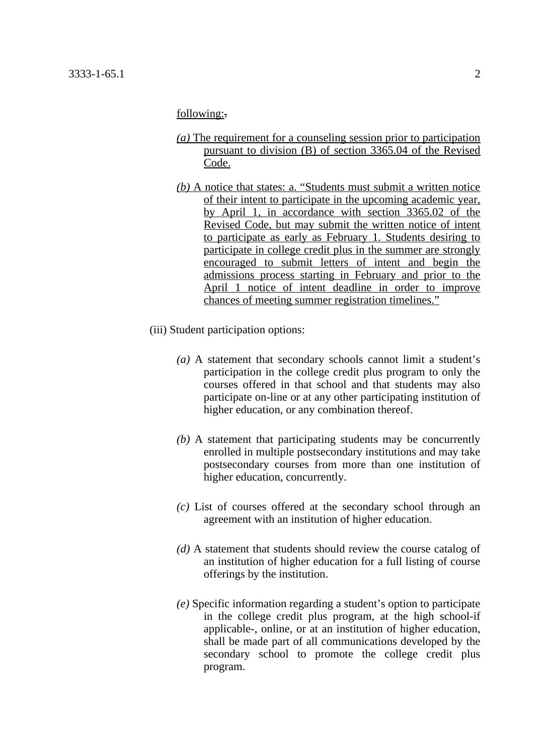## following:-

- *(a)* The requirement for a counseling session prior to participation pursuant to division (B) of section 3365.04 of the Revised Code.
- *(b)* A notice that states: a. "Students must submit a written notice of their intent to participate in the upcoming academic year, by April 1, in accordance with section 3365.02 of the Revised Code, but may submit the written notice of intent to participate as early as February 1. Students desiring to participate in college credit plus in the summer are strongly encouraged to submit letters of intent and begin the admissions process starting in February and prior to the April 1 notice of intent deadline in order to improve chances of meeting summer registration timelines."
- (iii) Student participation options:
	- *(a)* A statement that secondary schools cannot limit a student's participation in the college credit plus program to only the courses offered in that school and that students may also participate on-line or at any other participating institution of higher education, or any combination thereof.
	- *(b)* A statement that participating students may be concurrently enrolled in multiple postsecondary institutions and may take postsecondary courses from more than one institution of higher education, concurrently.
	- *(c)* List of courses offered at the secondary school through an agreement with an institution of higher education.
	- *(d)* A statement that students should review the course catalog of an institution of higher education for a full listing of course offerings by the institution.
	- *(e)* Specific information regarding a student's option to participate in the college credit plus program, at the high school-if applicable-, online, or at an institution of higher education, shall be made part of all communications developed by the secondary school to promote the college credit plus program.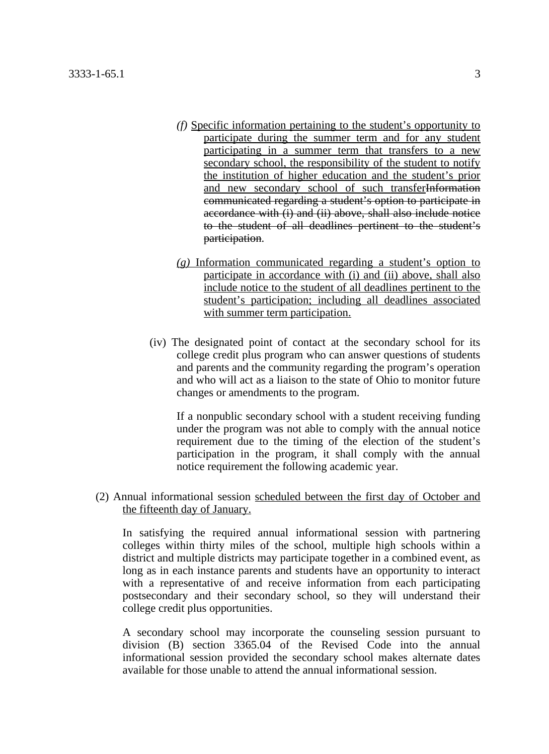- *(f)* Specific information pertaining to the student's opportunity to participate during the summer term and for any student participating in a summer term that transfers to a new secondary school, the responsibility of the student to notify the institution of higher education and the student's prior and new secondary school of such transferInformation communicated regarding a student's option to participate in accordance with (i) and (ii) above, shall also include notice to the student of all deadlines pertinent to the student's participation.
- *(g)* Information communicated regarding a student's option to participate in accordance with (i) and (ii) above, shall also include notice to the student of all deadlines pertinent to the student's participation; including all deadlines associated with summer term participation.
- (iv) The designated point of contact at the secondary school for its college credit plus program who can answer questions of students and parents and the community regarding the program's operation and who will act as a liaison to the state of Ohio to monitor future changes or amendments to the program.

If a nonpublic secondary school with a student receiving funding under the program was not able to comply with the annual notice requirement due to the timing of the election of the student's participation in the program, it shall comply with the annual notice requirement the following academic year.

(2) Annual informational session scheduled between the first day of October and the fifteenth day of January.

In satisfying the required annual informational session with partnering colleges within thirty miles of the school, multiple high schools within a district and multiple districts may participate together in a combined event, as long as in each instance parents and students have an opportunity to interact with a representative of and receive information from each participating postsecondary and their secondary school, so they will understand their college credit plus opportunities.

A secondary school may incorporate the counseling session pursuant to division (B) section 3365.04 of the Revised Code into the annual informational session provided the secondary school makes alternate dates available for those unable to attend the annual informational session.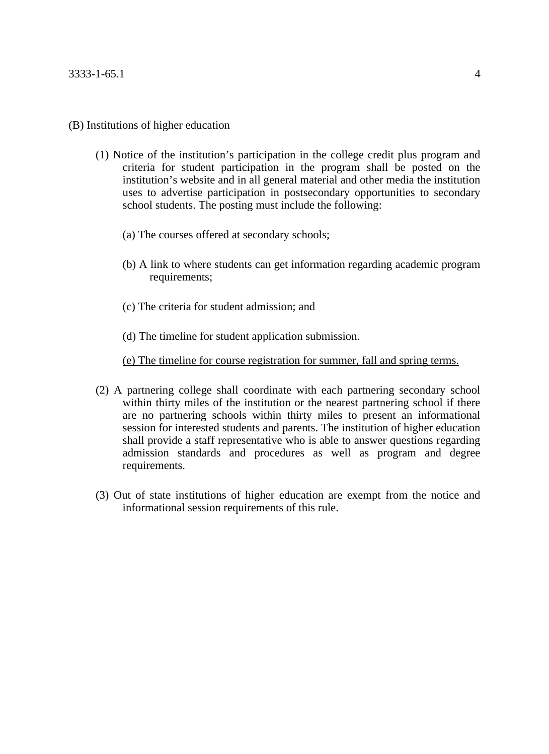## (B) Institutions of higher education

- (1) Notice of the institution's participation in the college credit plus program and criteria for student participation in the program shall be posted on the institution's website and in all general material and other media the institution uses to advertise participation in postsecondary opportunities to secondary school students. The posting must include the following:
	- (a) The courses offered at secondary schools;
	- (b) A link to where students can get information regarding academic program requirements;
	- (c) The criteria for student admission; and
	- (d) The timeline for student application submission.

## (e) The timeline for course registration for summer, fall and spring terms.

- (2) A partnering college shall coordinate with each partnering secondary school within thirty miles of the institution or the nearest partnering school if there are no partnering schools within thirty miles to present an informational session for interested students and parents. The institution of higher education shall provide a staff representative who is able to answer questions regarding admission standards and procedures as well as program and degree requirements.
- (3) Out of state institutions of higher education are exempt from the notice and informational session requirements of this rule.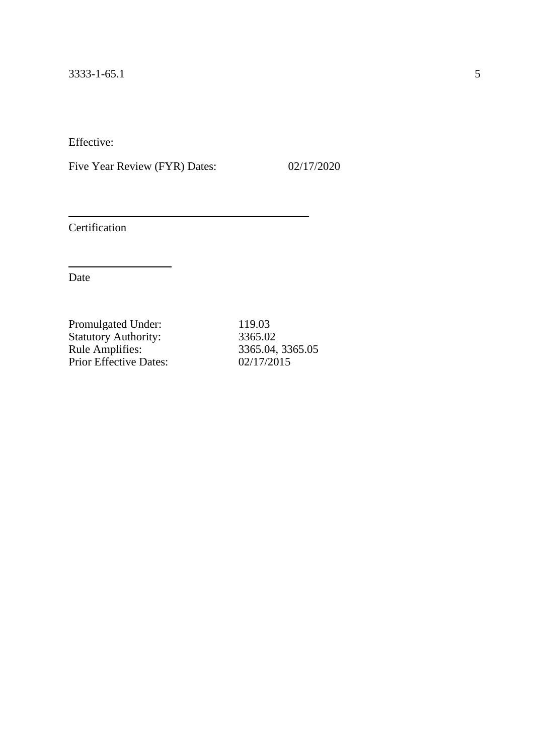Five Year Review (FYR) Dates: 02/17/2020

Certification

| 119.03           |
|------------------|
| 3365.02          |
| 3365.04, 3365.05 |
| 02/17/2015       |
|                  |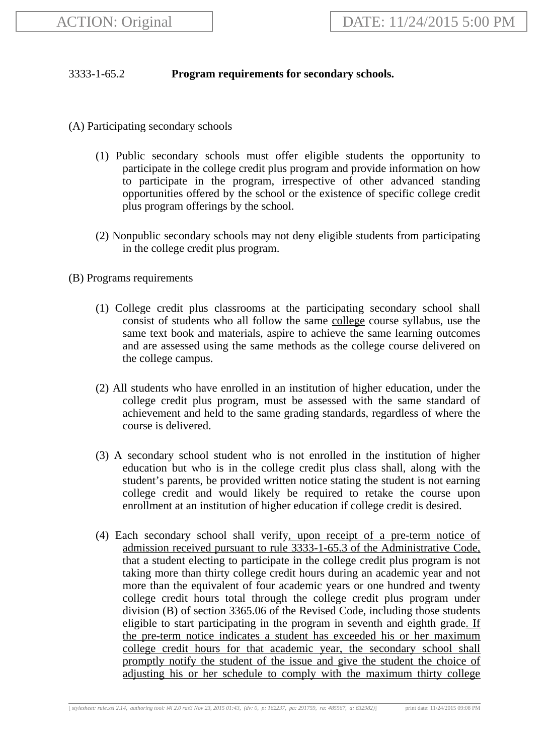# 3333-1-65.2 **Program requirements for secondary schools.**

- (A) Participating secondary schools
	- (1) Public secondary schools must offer eligible students the opportunity to participate in the college credit plus program and provide information on how to participate in the program, irrespective of other advanced standing opportunities offered by the school or the existence of specific college credit plus program offerings by the school.
	- (2) Nonpublic secondary schools may not deny eligible students from participating in the college credit plus program.
- (B) Programs requirements
	- (1) College credit plus classrooms at the participating secondary school shall consist of students who all follow the same college course syllabus, use the same text book and materials, aspire to achieve the same learning outcomes and are assessed using the same methods as the college course delivered on the college campus.
	- (2) All students who have enrolled in an institution of higher education, under the college credit plus program, must be assessed with the same standard of achievement and held to the same grading standards, regardless of where the course is delivered.
	- (3) A secondary school student who is not enrolled in the institution of higher education but who is in the college credit plus class shall, along with the student's parents, be provided written notice stating the student is not earning college credit and would likely be required to retake the course upon enrollment at an institution of higher education if college credit is desired.
	- (4) Each secondary school shall verify, upon receipt of a pre-term notice of admission received pursuant to rule 3333-1-65.3 of the Administrative Code, that a student electing to participate in the college credit plus program is not taking more than thirty college credit hours during an academic year and not more than the equivalent of four academic years or one hundred and twenty college credit hours total through the college credit plus program under division (B) of section 3365.06 of the Revised Code, including those students eligible to start participating in the program in seventh and eighth grade. If the pre-term notice indicates a student has exceeded his or her maximum college credit hours for that academic year, the secondary school shall promptly notify the student of the issue and give the student the choice of adjusting his or her schedule to comply with the maximum thirty college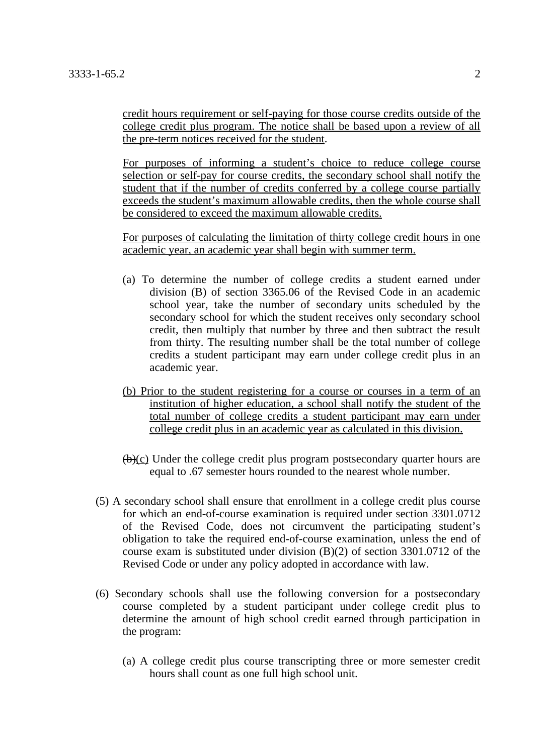credit hours requirement or self-paying for those course credits outside of the college credit plus program. The notice shall be based upon a review of all the pre-term notices received for the student.

For purposes of informing a student's choice to reduce college course selection or self-pay for course credits, the secondary school shall notify the student that if the number of credits conferred by a college course partially exceeds the student's maximum allowable credits, then the whole course shall be considered to exceed the maximum allowable credits.

For purposes of calculating the limitation of thirty college credit hours in one academic year, an academic year shall begin with summer term.

- (a) To determine the number of college credits a student earned under division (B) of section 3365.06 of the Revised Code in an academic school year, take the number of secondary units scheduled by the secondary school for which the student receives only secondary school credit, then multiply that number by three and then subtract the result from thirty. The resulting number shall be the total number of college credits a student participant may earn under college credit plus in an academic year.
- (b) Prior to the student registering for a course or courses in a term of an institution of higher education, a school shall notify the student of the total number of college credits a student participant may earn under college credit plus in an academic year as calculated in this division.
- $(\theta)(c)$  Under the college credit plus program postsecondary quarter hours are equal to .67 semester hours rounded to the nearest whole number.
- (5) A secondary school shall ensure that enrollment in a college credit plus course for which an end-of-course examination is required under section 3301.0712 of the Revised Code, does not circumvent the participating student's obligation to take the required end-of-course examination, unless the end of course exam is substituted under division (B)(2) of section 3301.0712 of the Revised Code or under any policy adopted in accordance with law.
- (6) Secondary schools shall use the following conversion for a postsecondary course completed by a student participant under college credit plus to determine the amount of high school credit earned through participation in the program:
	- (a) A college credit plus course transcripting three or more semester credit hours shall count as one full high school unit.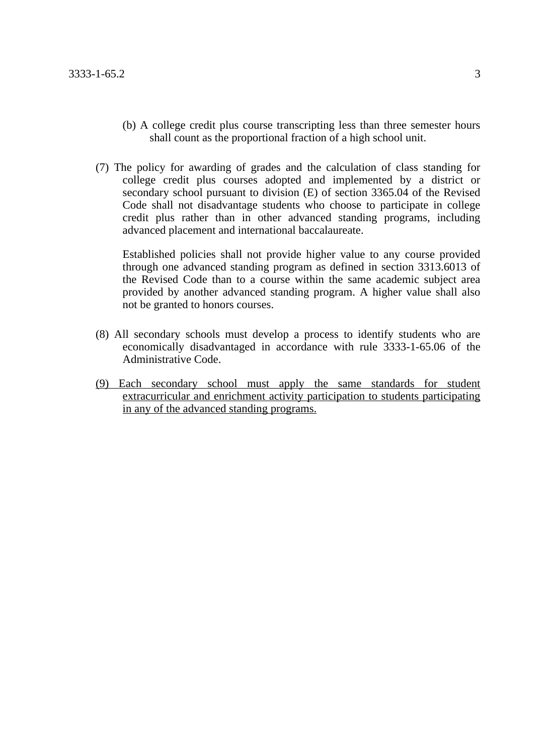- (b) A college credit plus course transcripting less than three semester hours shall count as the proportional fraction of a high school unit.
- (7) The policy for awarding of grades and the calculation of class standing for college credit plus courses adopted and implemented by a district or secondary school pursuant to division (E) of section 3365.04 of the Revised Code shall not disadvantage students who choose to participate in college credit plus rather than in other advanced standing programs, including advanced placement and international baccalaureate.

Established policies shall not provide higher value to any course provided through one advanced standing program as defined in section 3313.6013 of the Revised Code than to a course within the same academic subject area provided by another advanced standing program. A higher value shall also not be granted to honors courses.

- (8) All secondary schools must develop a process to identify students who are economically disadvantaged in accordance with rule 3333-1-65.06 of the Administrative Code.
- (9) Each secondary school must apply the same standards for student extracurricular and enrichment activity participation to students participating in any of the advanced standing programs.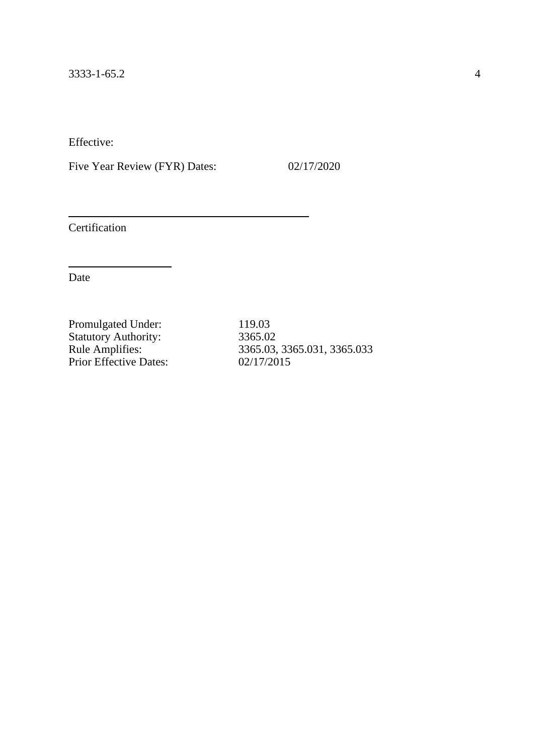Five Year Review (FYR) Dates: 02/17/2020

Certification

Date

Promulgated Under: 119.03 Statutory Authority: 3365.02 Prior Effective Dates:

3365.03, 3365.031, 3365.033<br>02/17/2015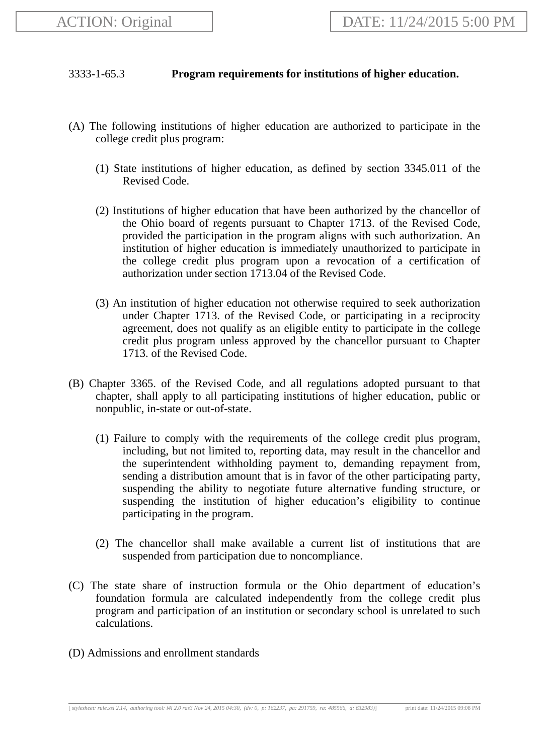# 3333-1-65.3 **Program requirements for institutions of higher education.**

- (A) The following institutions of higher education are authorized to participate in the college credit plus program:
	- (1) State institutions of higher education, as defined by section 3345.011 of the Revised Code.
	- (2) Institutions of higher education that have been authorized by the chancellor of the Ohio board of regents pursuant to Chapter 1713. of the Revised Code, provided the participation in the program aligns with such authorization. An institution of higher education is immediately unauthorized to participate in the college credit plus program upon a revocation of a certification of authorization under section 1713.04 of the Revised Code.
	- (3) An institution of higher education not otherwise required to seek authorization under Chapter 1713. of the Revised Code, or participating in a reciprocity agreement, does not qualify as an eligible entity to participate in the college credit plus program unless approved by the chancellor pursuant to Chapter 1713. of the Revised Code.
- (B) Chapter 3365. of the Revised Code, and all regulations adopted pursuant to that chapter, shall apply to all participating institutions of higher education, public or nonpublic, in-state or out-of-state.
	- (1) Failure to comply with the requirements of the college credit plus program, including, but not limited to, reporting data, may result in the chancellor and the superintendent withholding payment to, demanding repayment from, sending a distribution amount that is in favor of the other participating party, suspending the ability to negotiate future alternative funding structure, or suspending the institution of higher education's eligibility to continue participating in the program.
	- (2) The chancellor shall make available a current list of institutions that are suspended from participation due to noncompliance.
- (C) The state share of instruction formula or the Ohio department of education's foundation formula are calculated independently from the college credit plus program and participation of an institution or secondary school is unrelated to such calculations.
- (D) Admissions and enrollment standards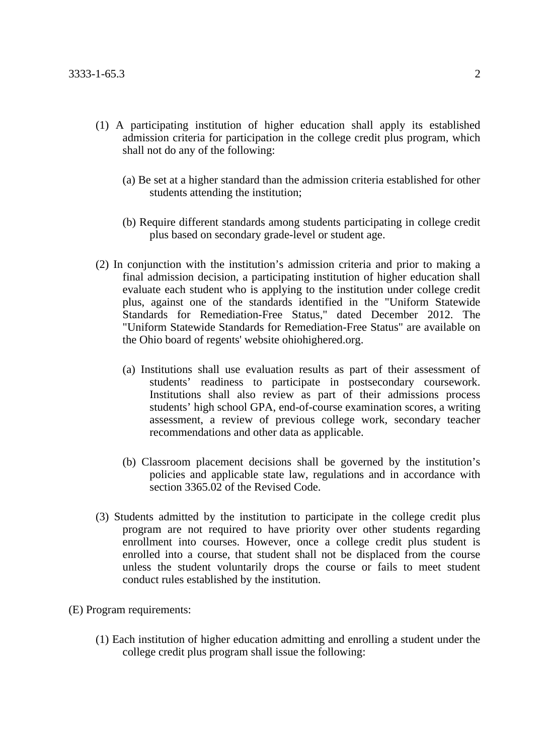- (1) A participating institution of higher education shall apply its established admission criteria for participation in the college credit plus program, which shall not do any of the following:
	- (a) Be set at a higher standard than the admission criteria established for other students attending the institution;
	- (b) Require different standards among students participating in college credit plus based on secondary grade-level or student age.
- (2) In conjunction with the institution's admission criteria and prior to making a final admission decision, a participating institution of higher education shall evaluate each student who is applying to the institution under college credit plus, against one of the standards identified in the "Uniform Statewide Standards for Remediation-Free Status," dated December 2012. The "Uniform Statewide Standards for Remediation-Free Status" are available on the Ohio board of regents' website ohiohighered.org.
	- (a) Institutions shall use evaluation results as part of their assessment of students' readiness to participate in postsecondary coursework. Institutions shall also review as part of their admissions process students' high school GPA, end-of-course examination scores, a writing assessment, a review of previous college work, secondary teacher recommendations and other data as applicable.
	- (b) Classroom placement decisions shall be governed by the institution's policies and applicable state law, regulations and in accordance with section 3365.02 of the Revised Code.
- (3) Students admitted by the institution to participate in the college credit plus program are not required to have priority over other students regarding enrollment into courses. However, once a college credit plus student is enrolled into a course, that student shall not be displaced from the course unless the student voluntarily drops the course or fails to meet student conduct rules established by the institution.
- (E) Program requirements:
	- (1) Each institution of higher education admitting and enrolling a student under the college credit plus program shall issue the following: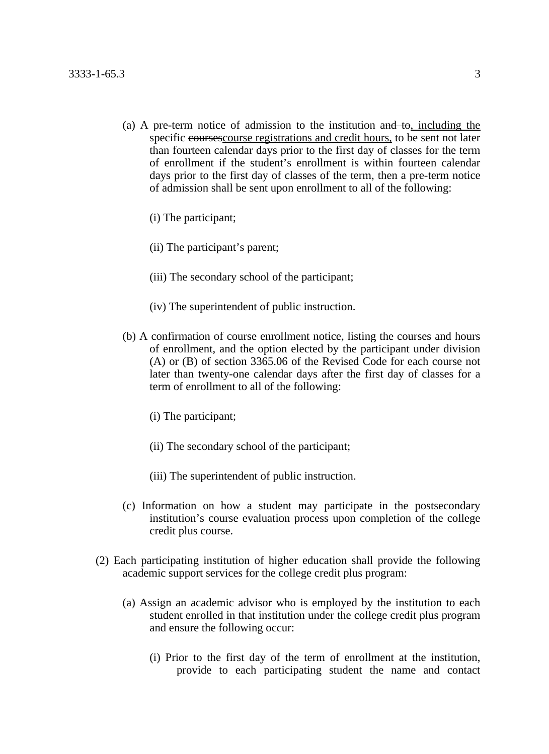- (a) A pre-term notice of admission to the institution  $\theta$  and  $\theta$ , including the specific coursescourse registrations and credit hours, to be sent not later than fourteen calendar days prior to the first day of classes for the term of enrollment if the student's enrollment is within fourteen calendar days prior to the first day of classes of the term, then a pre-term notice of admission shall be sent upon enrollment to all of the following:
	- (i) The participant;
	- (ii) The participant's parent;
	- (iii) The secondary school of the participant;
	- (iv) The superintendent of public instruction.
- (b) A confirmation of course enrollment notice, listing the courses and hours of enrollment, and the option elected by the participant under division (A) or (B) of section 3365.06 of the Revised Code for each course not later than twenty-one calendar days after the first day of classes for a term of enrollment to all of the following:
	- (i) The participant;
	- (ii) The secondary school of the participant;
	- (iii) The superintendent of public instruction.
- (c) Information on how a student may participate in the postsecondary institution's course evaluation process upon completion of the college credit plus course.
- (2) Each participating institution of higher education shall provide the following academic support services for the college credit plus program:
	- (a) Assign an academic advisor who is employed by the institution to each student enrolled in that institution under the college credit plus program and ensure the following occur:
		- (i) Prior to the first day of the term of enrollment at the institution, provide to each participating student the name and contact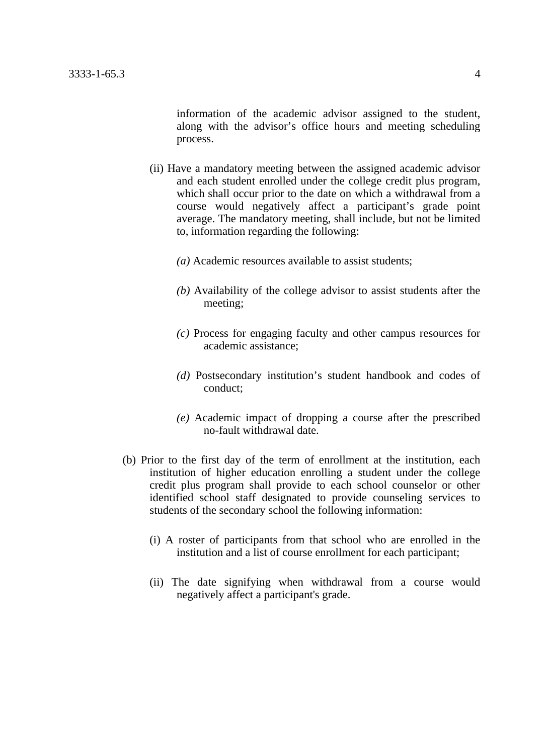information of the academic advisor assigned to the student, along with the advisor's office hours and meeting scheduling process.

- (ii) Have a mandatory meeting between the assigned academic advisor and each student enrolled under the college credit plus program, which shall occur prior to the date on which a withdrawal from a course would negatively affect a participant's grade point average. The mandatory meeting, shall include, but not be limited to, information regarding the following:
	- *(a)* Academic resources available to assist students;
	- *(b)* Availability of the college advisor to assist students after the meeting;
	- *(c)* Process for engaging faculty and other campus resources for academic assistance;
	- *(d)* Postsecondary institution's student handbook and codes of conduct;
	- *(e)* Academic impact of dropping a course after the prescribed no-fault withdrawal date.
- (b) Prior to the first day of the term of enrollment at the institution, each institution of higher education enrolling a student under the college credit plus program shall provide to each school counselor or other identified school staff designated to provide counseling services to students of the secondary school the following information:
	- (i) A roster of participants from that school who are enrolled in the institution and a list of course enrollment for each participant;
	- (ii) The date signifying when withdrawal from a course would negatively affect a participant's grade.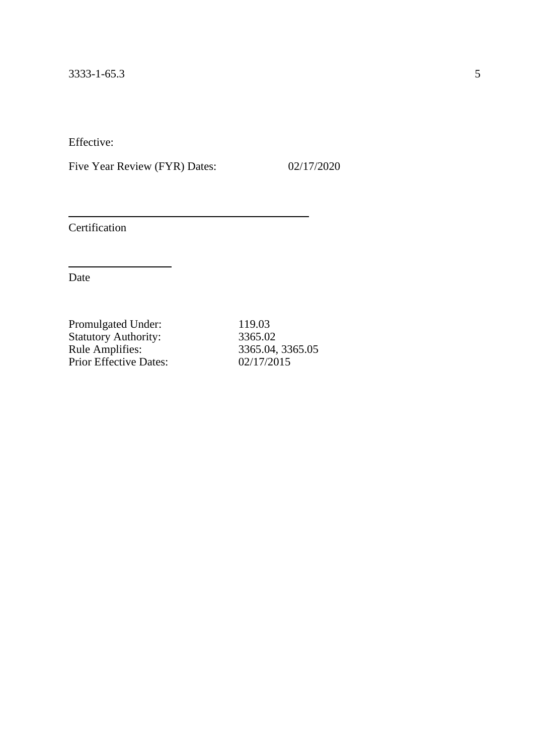Five Year Review (FYR) Dates: 02/17/2020

Certification

| 119.03           |
|------------------|
| 3365.02          |
| 3365.04, 3365.05 |
| 02/17/2015       |
|                  |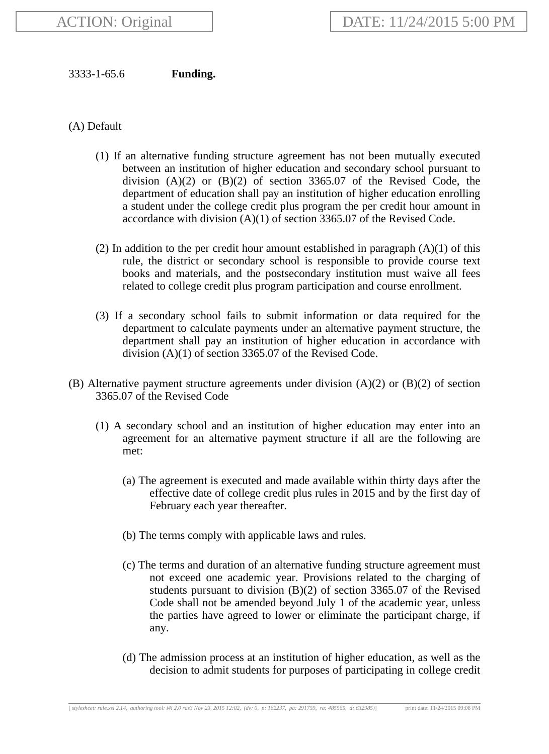# 3333-1-65.6 **Funding.**

(A) Default

- (1) If an alternative funding structure agreement has not been mutually executed between an institution of higher education and secondary school pursuant to division  $(A)(2)$  or  $(B)(2)$  of section 3365.07 of the Revised Code, the department of education shall pay an institution of higher education enrolling a student under the college credit plus program the per credit hour amount in accordance with division (A)(1) of section 3365.07 of the Revised Code.
- (2) In addition to the per credit hour amount established in paragraph  $(A)(1)$  of this rule, the district or secondary school is responsible to provide course text books and materials, and the postsecondary institution must waive all fees related to college credit plus program participation and course enrollment.
- (3) If a secondary school fails to submit information or data required for the department to calculate payments under an alternative payment structure, the department shall pay an institution of higher education in accordance with division (A)(1) of section 3365.07 of the Revised Code.
- (B) Alternative payment structure agreements under division  $(A)(2)$  or  $(B)(2)$  of section 3365.07 of the Revised Code
	- (1) A secondary school and an institution of higher education may enter into an agreement for an alternative payment structure if all are the following are met:
		- (a) The agreement is executed and made available within thirty days after the effective date of college credit plus rules in 2015 and by the first day of February each year thereafter.
		- (b) The terms comply with applicable laws and rules.
		- (c) The terms and duration of an alternative funding structure agreement must not exceed one academic year. Provisions related to the charging of students pursuant to division (B)(2) of section 3365.07 of the Revised Code shall not be amended beyond July 1 of the academic year, unless the parties have agreed to lower or eliminate the participant charge, if any.
		- (d) The admission process at an institution of higher education, as well as the decision to admit students for purposes of participating in college credit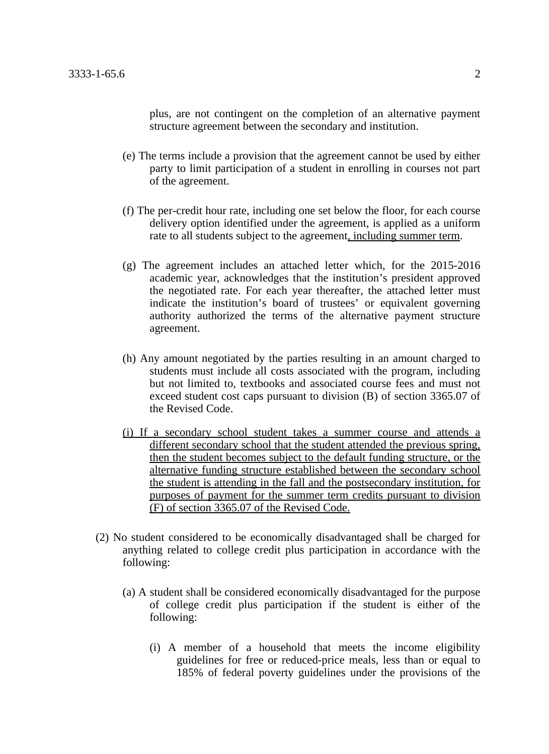plus, are not contingent on the completion of an alternative payment structure agreement between the secondary and institution.

- (e) The terms include a provision that the agreement cannot be used by either party to limit participation of a student in enrolling in courses not part of the agreement.
- (f) The per-credit hour rate, including one set below the floor, for each course delivery option identified under the agreement, is applied as a uniform rate to all students subject to the agreement, including summer term.
- (g) The agreement includes an attached letter which, for the 2015-2016 academic year, acknowledges that the institution's president approved the negotiated rate. For each year thereafter, the attached letter must indicate the institution's board of trustees' or equivalent governing authority authorized the terms of the alternative payment structure agreement.
- (h) Any amount negotiated by the parties resulting in an amount charged to students must include all costs associated with the program, including but not limited to, textbooks and associated course fees and must not exceed student cost caps pursuant to division (B) of section 3365.07 of the Revised Code.
- (i) If a secondary school student takes a summer course and attends a different secondary school that the student attended the previous spring, then the student becomes subject to the default funding structure, or the alternative funding structure established between the secondary school the student is attending in the fall and the postsecondary institution, for purposes of payment for the summer term credits pursuant to division (F) of section 3365.07 of the Revised Code.
- (2) No student considered to be economically disadvantaged shall be charged for anything related to college credit plus participation in accordance with the following:
	- (a) A student shall be considered economically disadvantaged for the purpose of college credit plus participation if the student is either of the following:
		- (i) A member of a household that meets the income eligibility guidelines for free or reduced-price meals, less than or equal to 185% of federal poverty guidelines under the provisions of the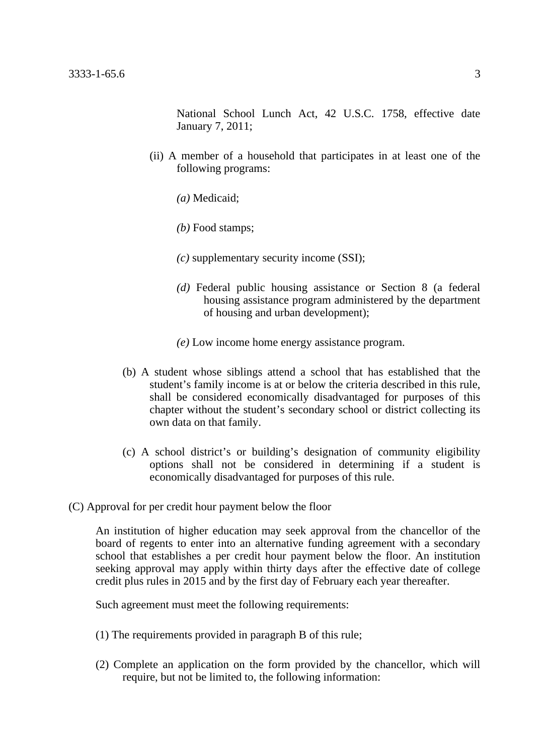National School Lunch Act, 42 U.S.C. 1758, effective date January 7, 2011;

- (ii) A member of a household that participates in at least one of the following programs:
	- *(a)* Medicaid;
	- *(b)* Food stamps;
	- *(c)* supplementary security income (SSI);
	- *(d)* Federal public housing assistance or Section 8 (a federal housing assistance program administered by the department of housing and urban development);
	- *(e)* Low income home energy assistance program.
- (b) A student whose siblings attend a school that has established that the student's family income is at or below the criteria described in this rule, shall be considered economically disadvantaged for purposes of this chapter without the student's secondary school or district collecting its own data on that family.
- (c) A school district's or building's designation of community eligibility options shall not be considered in determining if a student is economically disadvantaged for purposes of this rule.
- (C) Approval for per credit hour payment below the floor

An institution of higher education may seek approval from the chancellor of the board of regents to enter into an alternative funding agreement with a secondary school that establishes a per credit hour payment below the floor. An institution seeking approval may apply within thirty days after the effective date of college credit plus rules in 2015 and by the first day of February each year thereafter.

Such agreement must meet the following requirements:

- (1) The requirements provided in paragraph B of this rule;
- (2) Complete an application on the form provided by the chancellor, which will require, but not be limited to, the following information: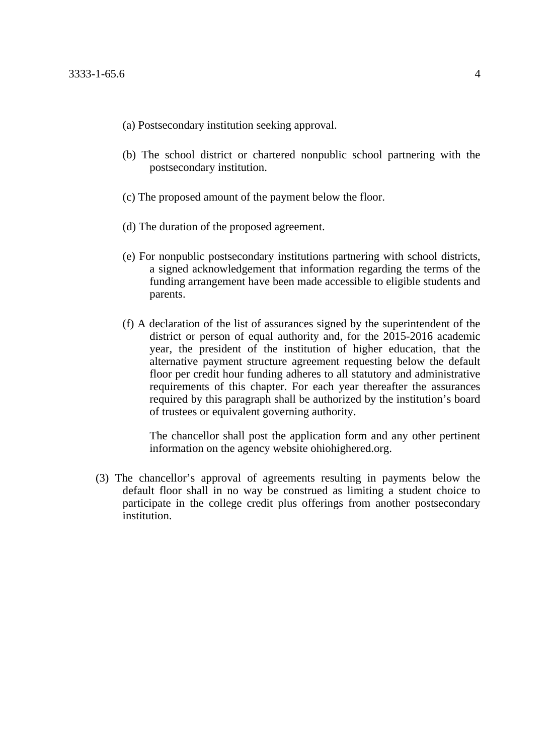- (a) Postsecondary institution seeking approval.
- (b) The school district or chartered nonpublic school partnering with the postsecondary institution.
- (c) The proposed amount of the payment below the floor.
- (d) The duration of the proposed agreement.
- (e) For nonpublic postsecondary institutions partnering with school districts, a signed acknowledgement that information regarding the terms of the funding arrangement have been made accessible to eligible students and parents.
- (f) A declaration of the list of assurances signed by the superintendent of the district or person of equal authority and, for the 2015-2016 academic year, the president of the institution of higher education, that the alternative payment structure agreement requesting below the default floor per credit hour funding adheres to all statutory and administrative requirements of this chapter. For each year thereafter the assurances required by this paragraph shall be authorized by the institution's board of trustees or equivalent governing authority.

The chancellor shall post the application form and any other pertinent information on the agency website ohiohighered.org.

(3) The chancellor's approval of agreements resulting in payments below the default floor shall in no way be construed as limiting a student choice to participate in the college credit plus offerings from another postsecondary institution.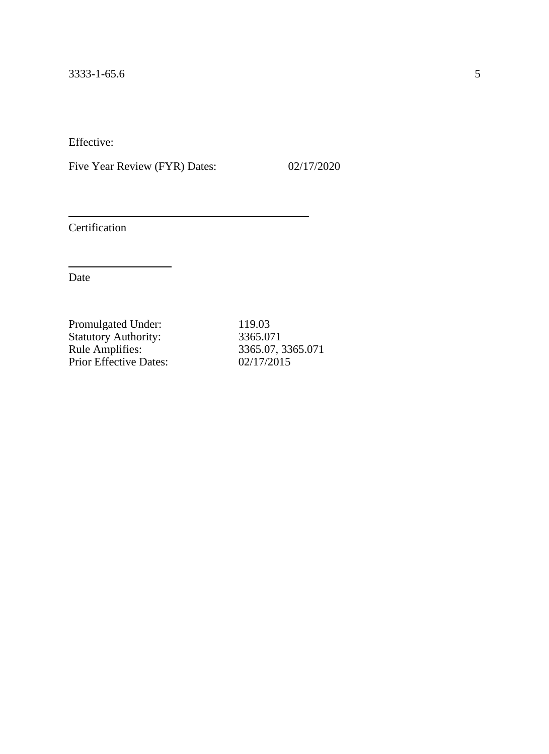Five Year Review (FYR) Dates: 02/17/2020

Certification

Date

Promulgated Under: 119.03 Statutory Authority: 3365.071 Rule Amplifies: 3365.07, 3365.071 Prior Effective Dates: 02/17/2015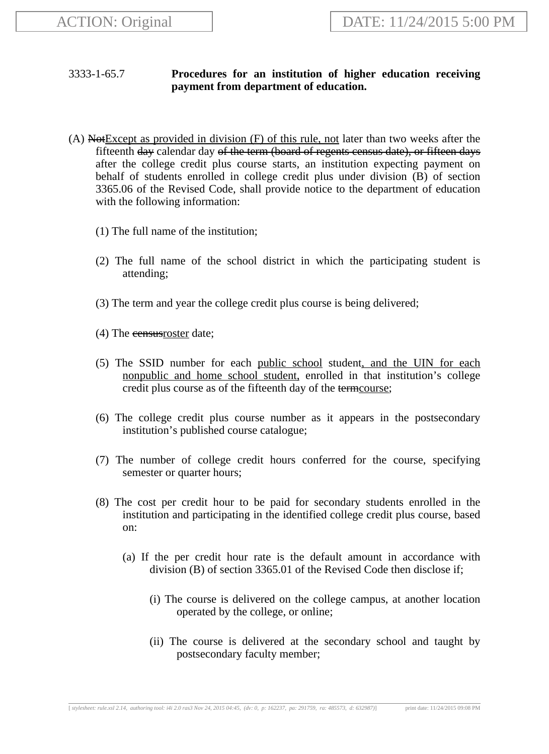# 3333-1-65.7 **Procedures for an institution of higher education receiving payment from department of education.**

- (A) NotExcept as provided in division (F) of this rule, not later than two weeks after the fifteenth day calendar day of the term (board of regents census date), or fifteen days after the college credit plus course starts, an institution expecting payment on behalf of students enrolled in college credit plus under division (B) of section 3365.06 of the Revised Code, shall provide notice to the department of education with the following information:
	- (1) The full name of the institution;
	- (2) The full name of the school district in which the participating student is attending;
	- (3) The term and year the college credit plus course is being delivered;
	- (4) The eensus roster date;
	- (5) The SSID number for each public school student, and the UIN for each nonpublic and home school student, enrolled in that institution's college credit plus course as of the fifteenth day of the termcourse;
	- (6) The college credit plus course number as it appears in the postsecondary institution's published course catalogue;
	- (7) The number of college credit hours conferred for the course, specifying semester or quarter hours;
	- (8) The cost per credit hour to be paid for secondary students enrolled in the institution and participating in the identified college credit plus course, based on:
		- (a) If the per credit hour rate is the default amount in accordance with division (B) of section 3365.01 of the Revised Code then disclose if;
			- (i) The course is delivered on the college campus, at another location operated by the college, or online;
			- (ii) The course is delivered at the secondary school and taught by postsecondary faculty member;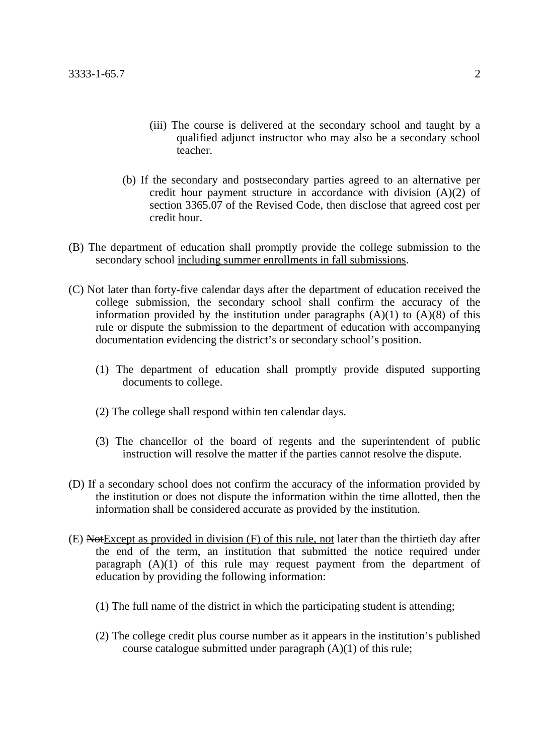- (iii) The course is delivered at the secondary school and taught by a qualified adjunct instructor who may also be a secondary school teacher.
- (b) If the secondary and postsecondary parties agreed to an alternative per credit hour payment structure in accordance with division (A)(2) of section 3365.07 of the Revised Code, then disclose that agreed cost per credit hour.
- (B) The department of education shall promptly provide the college submission to the secondary school including summer enrollments in fall submissions.
- (C) Not later than forty-five calendar days after the department of education received the college submission, the secondary school shall confirm the accuracy of the information provided by the institution under paragraphs  $(A)(1)$  to  $(A)(8)$  of this rule or dispute the submission to the department of education with accompanying documentation evidencing the district's or secondary school's position.
	- (1) The department of education shall promptly provide disputed supporting documents to college.
	- (2) The college shall respond within ten calendar days.
	- (3) The chancellor of the board of regents and the superintendent of public instruction will resolve the matter if the parties cannot resolve the dispute.
- (D) If a secondary school does not confirm the accuracy of the information provided by the institution or does not dispute the information within the time allotted, then the information shall be considered accurate as provided by the institution.
- $(E)$  Not Except as provided in division  $(F)$  of this rule, not later than the thirtieth day after the end of the term, an institution that submitted the notice required under paragraph (A)(1) of this rule may request payment from the department of education by providing the following information:
	- (1) The full name of the district in which the participating student is attending;
	- (2) The college credit plus course number as it appears in the institution's published course catalogue submitted under paragraph (A)(1) of this rule;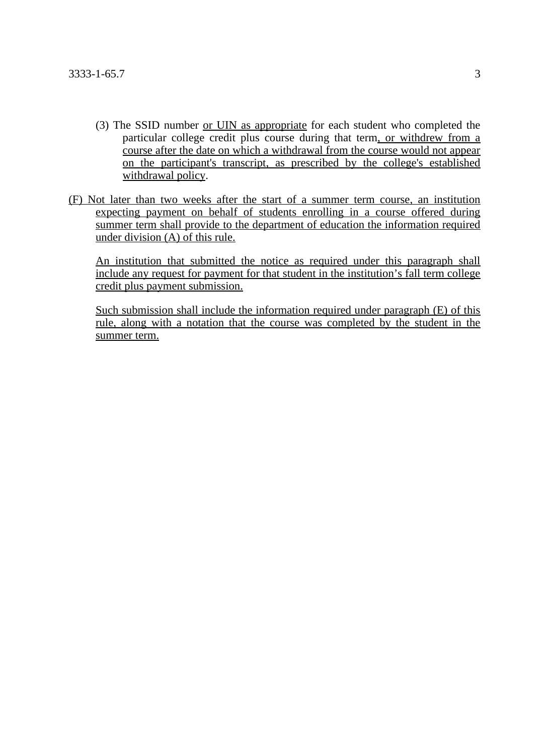- (3) The SSID number or UIN as appropriate for each student who completed the particular college credit plus course during that term, or withdrew from a course after the date on which a withdrawal from the course would not appear on the participant's transcript, as prescribed by the college's established withdrawal policy.
- (F) Not later than two weeks after the start of a summer term course, an institution expecting payment on behalf of students enrolling in a course offered during summer term shall provide to the department of education the information required under division (A) of this rule.

An institution that submitted the notice as required under this paragraph shall include any request for payment for that student in the institution's fall term college credit plus payment submission.

Such submission shall include the information required under paragraph (E) of this rule, along with a notation that the course was completed by the student in the summer term.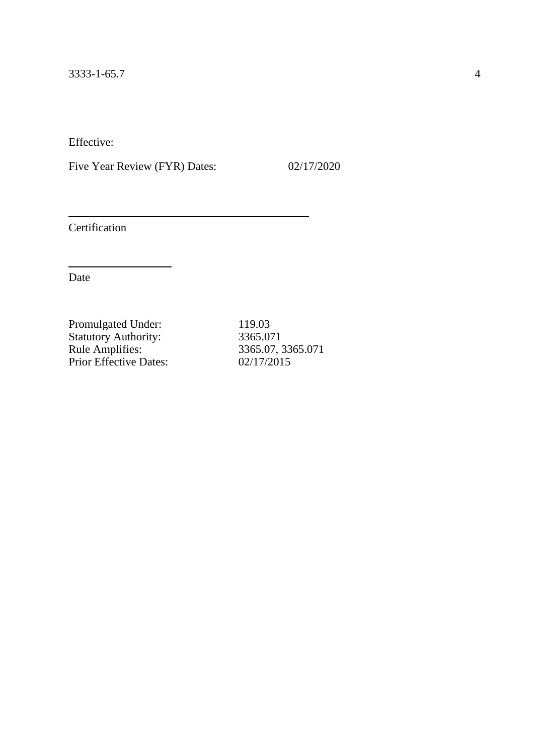Five Year Review (FYR) Dates: 02/17/2020

Certification

Date

Promulgated Under: 119.03 Statutory Authority: 3365.071 Rule Amplifies: 3365.07, 3365.071 Prior Effective Dates: 02/17/2015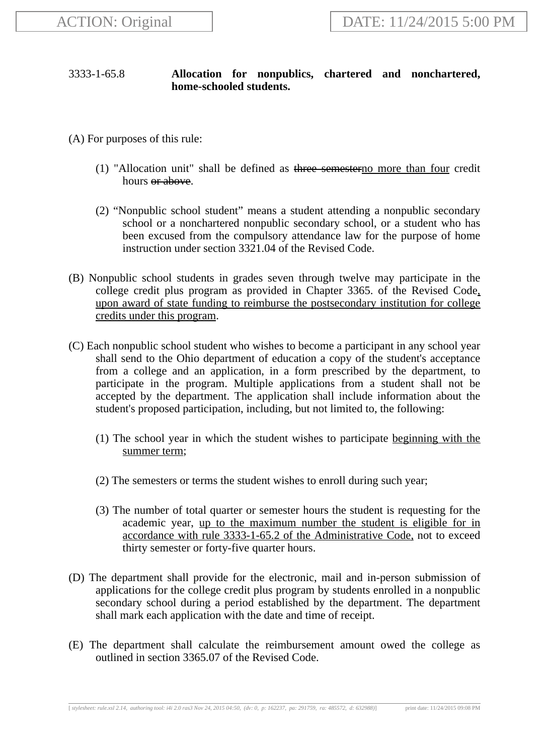# 3333-1-65.8 **Allocation for nonpublics, chartered and nonchartered, home-schooled students.**

- (A) For purposes of this rule:
	- (1) "Allocation unit" shall be defined as three semesterno more than four credit hours <del>or above</del>.
	- (2) "Nonpublic school student" means a student attending a nonpublic secondary school or a nonchartered nonpublic secondary school, or a student who has been excused from the compulsory attendance law for the purpose of home instruction under section 3321.04 of the Revised Code.
- (B) Nonpublic school students in grades seven through twelve may participate in the college credit plus program as provided in Chapter 3365. of the Revised Code, upon award of state funding to reimburse the postsecondary institution for college credits under this program.
- (C) Each nonpublic school student who wishes to become a participant in any school year shall send to the Ohio department of education a copy of the student's acceptance from a college and an application, in a form prescribed by the department, to participate in the program. Multiple applications from a student shall not be accepted by the department. The application shall include information about the student's proposed participation, including, but not limited to, the following:
	- (1) The school year in which the student wishes to participate beginning with the summer term;
	- (2) The semesters or terms the student wishes to enroll during such year;
	- (3) The number of total quarter or semester hours the student is requesting for the academic year, up to the maximum number the student is eligible for in accordance with rule 3333-1-65.2 of the Administrative Code, not to exceed thirty semester or forty-five quarter hours.
- (D) The department shall provide for the electronic, mail and in-person submission of applications for the college credit plus program by students enrolled in a nonpublic secondary school during a period established by the department. The department shall mark each application with the date and time of receipt.
- (E) The department shall calculate the reimbursement amount owed the college as outlined in section 3365.07 of the Revised Code.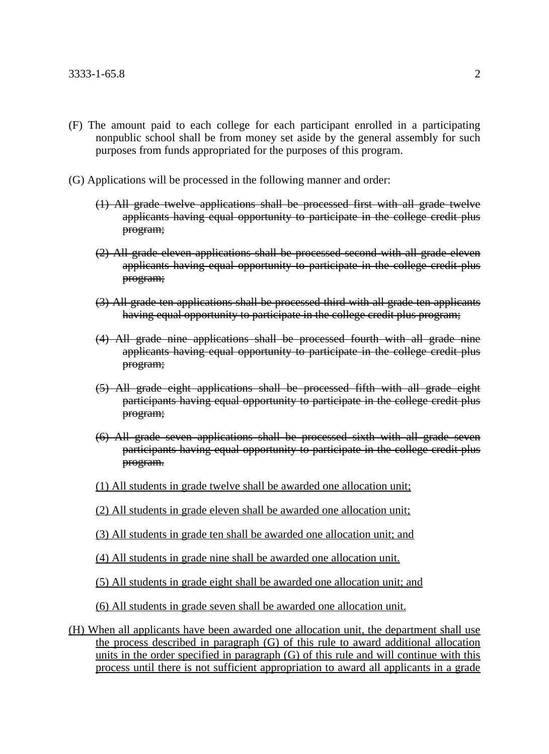- (F) The amount paid to each college for each participant enrolled in a participating nonpublic school shall be from money set aside by the general assembly for such purposes from funds appropriated for the purposes of this program.
- (G) Applications will be processed in the following manner and order:
	- (1) All grade twelve applications shall be processed first with all grade twelve applicants having equal opportunity to participate in the college credit plus program;
	- (2) All grade eleven applications shall be processed second with all grade eleven applicants having equal opportunity to participate in the college credit plus program;
	- (3) All grade ten applications shall be processed third with all grade ten applicants having equal opportunity to participate in the college credit plus program;
	- (4) All grade nine applications shall be processed fourth with all grade nine applicants having equal opportunity to participate in the college credit plus program;
	- (5) All grade eight applications shall be processed fifth with all grade eight participants having equal opportunity to participate in the college credit plus program;
	- (6) All grade seven applications shall be processed sixth with all grade seven participants having equal opportunity to participate in the college credit plus program.
	- (1) All students in grade twelve shall be awarded one allocation unit;
	- (2) All students in grade eleven shall be awarded one allocation unit;
	- (3) All students in grade ten shall be awarded one allocation unit; and
	- (4) All students in grade nine shall be awarded one allocation unit.
	- (5) All students in grade eight shall be awarded one allocation unit; and
	- (6) All students in grade seven shall be awarded one allocation unit.
- (H) When all applicants have been awarded one allocation unit, the department shall use the process described in paragraph (G) of this rule to award additional allocation units in the order specified in paragraph (G) of this rule and will continue with this process until there is not sufficient appropriation to award all applicants in a grade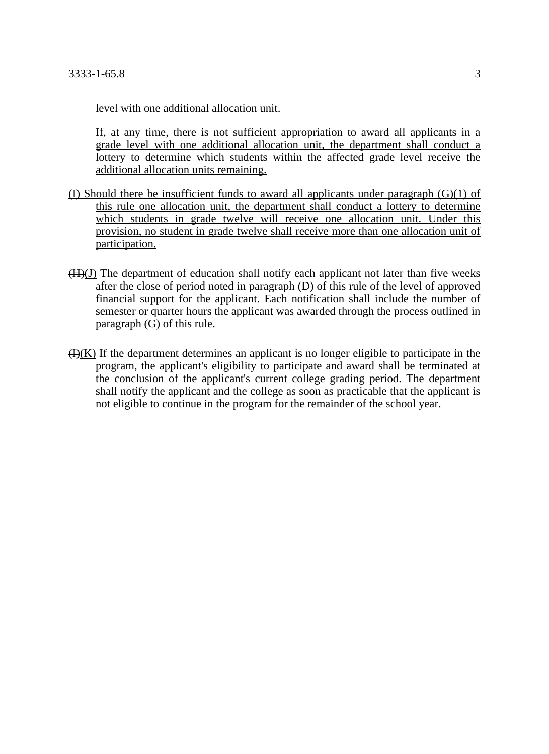level with one additional allocation unit.

If, at any time, there is not sufficient appropriation to award all applicants in a grade level with one additional allocation unit, the department shall conduct a lottery to determine which students within the affected grade level receive the additional allocation units remaining.

- (I) Should there be insufficient funds to award all applicants under paragraph (G)(1) of this rule one allocation unit, the department shall conduct a lottery to determine which students in grade twelve will receive one allocation unit. Under this provision, no student in grade twelve shall receive more than one allocation unit of participation.
- $(H)(J)$  The department of education shall notify each applicant not later than five weeks after the close of period noted in paragraph (D) of this rule of the level of approved financial support for the applicant. Each notification shall include the number of semester or quarter hours the applicant was awarded through the process outlined in paragraph (G) of this rule.
- $H(K)$  If the department determines an applicant is no longer eligible to participate in the program, the applicant's eligibility to participate and award shall be terminated at the conclusion of the applicant's current college grading period. The department shall notify the applicant and the college as soon as practicable that the applicant is not eligible to continue in the program for the remainder of the school year.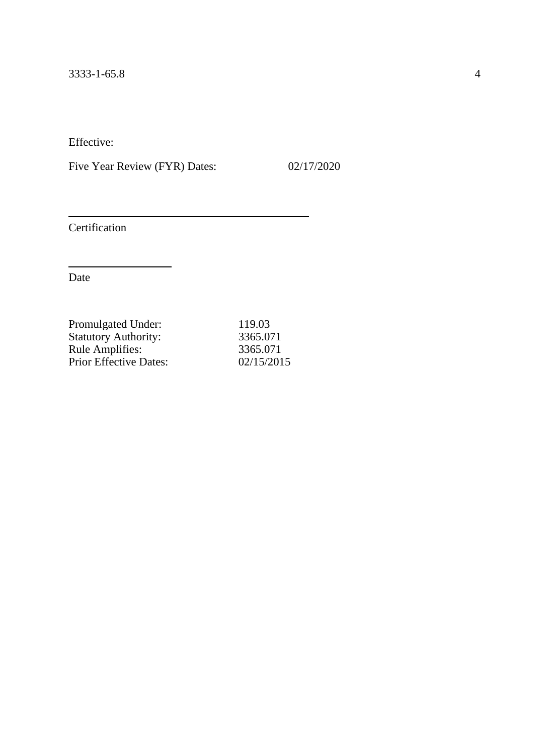Five Year Review (FYR) Dates: 02/17/2020

Certification

| 119.03     |
|------------|
| 3365.071   |
| 3365.071   |
| 02/15/2015 |
|            |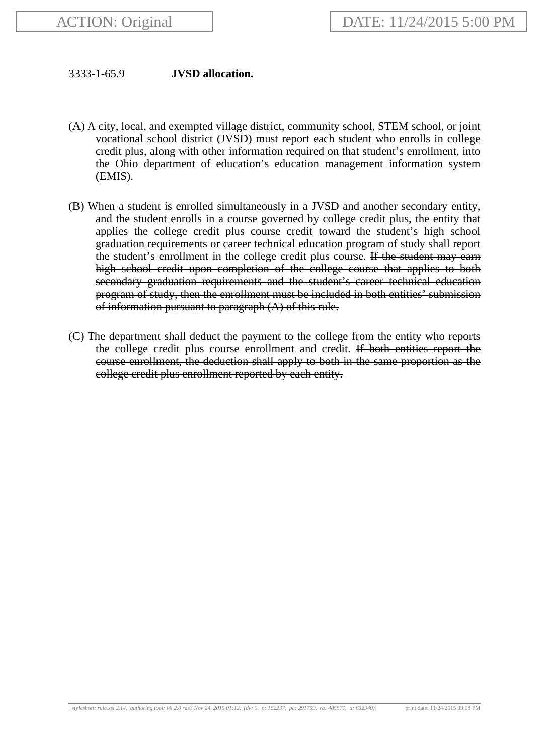## 3333-1-65.9 **JVSD allocation.**

- (A) A city, local, and exempted village district, community school, STEM school, or joint vocational school district (JVSD) must report each student who enrolls in college credit plus, along with other information required on that student's enrollment, into the Ohio department of education's education management information system (EMIS).
- (B) When a student is enrolled simultaneously in a JVSD and another secondary entity, and the student enrolls in a course governed by college credit plus, the entity that applies the college credit plus course credit toward the student's high school graduation requirements or career technical education program of study shall report the student's enrollment in the college credit plus course. If the student may earn high school credit upon completion of the college course that applies to both secondary graduation requirements and the student's career technical education program of study, then the enrollment must be included in both entities' submission of information pursuant to paragraph  $(A)$  of this rule.
- (C) The department shall deduct the payment to the college from the entity who reports the college credit plus course enrollment and credit. If both entities report the course enrollment, the deduction shall apply to both in the same proportion as the college credit plus enrollment reported by each entity.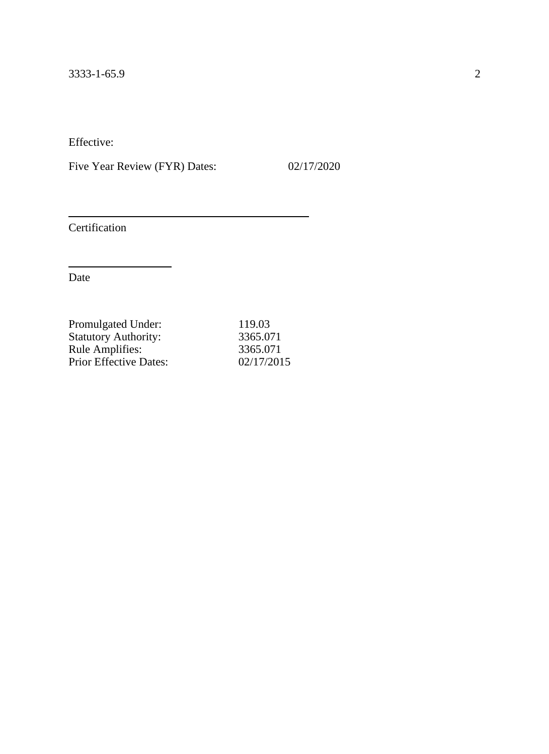Five Year Review (FYR) Dates: 02/17/2020

Certification

| 119.03     |
|------------|
| 3365.071   |
| 3365.071   |
| 02/17/2015 |
|            |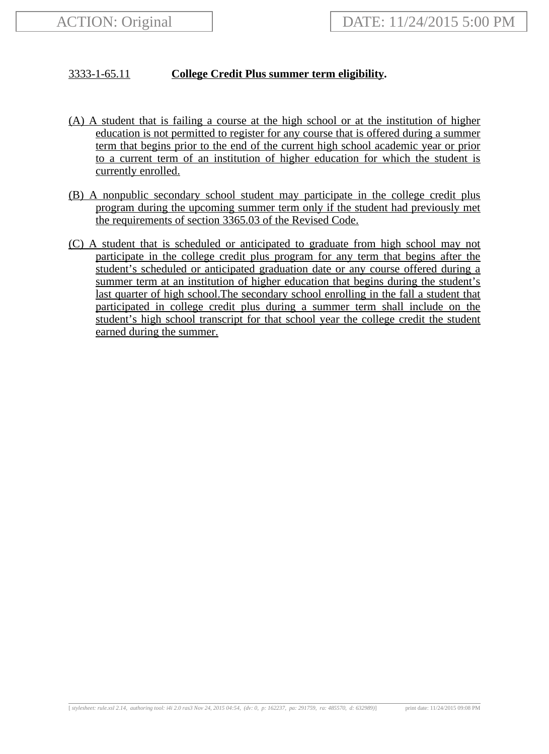# 3333-1-65.11 **College Credit Plus summer term eligibility.**

- (A) A student that is failing a course at the high school or at the institution of higher education is not permitted to register for any course that is offered during a summer term that begins prior to the end of the current high school academic year or prior to a current term of an institution of higher education for which the student is currently enrolled.
- (B) A nonpublic secondary school student may participate in the college credit plus program during the upcoming summer term only if the student had previously met the requirements of section 3365.03 of the Revised Code.
- (C) A student that is scheduled or anticipated to graduate from high school may not participate in the college credit plus program for any term that begins after the student's scheduled or anticipated graduation date or any course offered during a summer term at an institution of higher education that begins during the student's last quarter of high school.The secondary school enrolling in the fall a student that participated in college credit plus during a summer term shall include on the student's high school transcript for that school year the college credit the student earned during the summer.